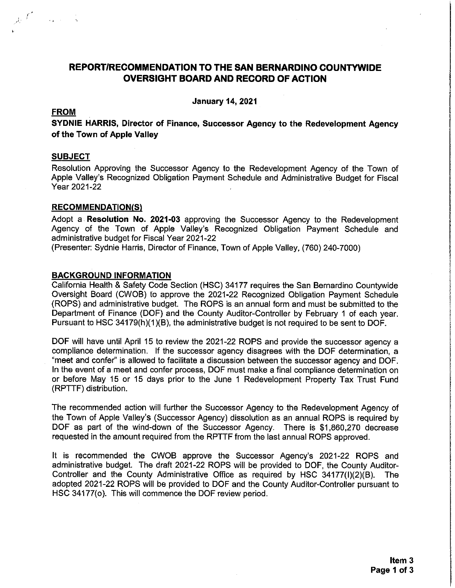# REPORT/RECOMMENDATION TO THE SAN BERNARDINO COUNTYWIDE **OVERSIGHT BOARD AND RECORD OF ACTION**

**January 14, 2021** 

### **FROM**

أناديهم أناد

SYDNIE HARRIS, Director of Finance, Successor Agency to the Redevelopment Agency of the Town of Apple Valley

### **SUBJECT**

Resolution Approving the Successor Agency to the Redevelopment Agency of the Town of Apple Valley's Recognized Obligation Payment Schedule and Administrative Budget for Fiscal Year 2021-22

#### **RECOMMENDATION(S)**

Adopt a Resolution No. 2021-03 approving the Successor Agency to the Redevelopment Agency of the Town of Apple Valley's Recognized Obligation Payment Schedule and administrative budget for Fiscal Year 2021-22

(Presenter: Sydnie Harris, Director of Finance, Town of Apple Valley, (760) 240-7000)

### **BACKGROUND INFORMATION**

California Health & Safety Code Section (HSC) 34177 requires the San Bernardino Countywide Oversight Board (CWOB) to approve the 2021-22 Recognized Obligation Payment Schedule (ROPS) and administrative budget. The ROPS is an annual form and must be submitted to the Department of Finance (DOF) and the County Auditor-Controller by February 1 of each year. Pursuant to HSC 34179(h)(1)(B), the administrative budget is not required to be sent to DOF.

DOF will have until April 15 to review the 2021-22 ROPS and provide the successor agency a compliance determination. If the successor agency disagrees with the DOF determination, a "meet and confer" is allowed to facilitate a discussion between the successor agency and DOF. In the event of a meet and confer process, DOF must make a final compliance determination on or before May 15 or 15 days prior to the June 1 Redevelopment Property Tax Trust Fund (RPTTF) distribution.

The recommended action will further the Successor Agency to the Redevelopment Agency of the Town of Apple Valley's (Successor Agency) dissolution as an annual ROPS is required by DOF as part of the wind-down of the Successor Agency. There is \$1,860,270 decrease requested in the amount required from the RPTTF from the last annual ROPS approved.

It is recommended the CWOB approve the Successor Agency's 2021-22 ROPS and administrative budget. The draft 2021-22 ROPS will be provided to DOF, the County Auditor-Controller and the County Administrative Office as required by HSC 34177(I)(2)(B). The adopted 2021-22 ROPS will be provided to DOF and the County Auditor-Controller pursuant to HSC 34177(o). This will commence the DOF review period.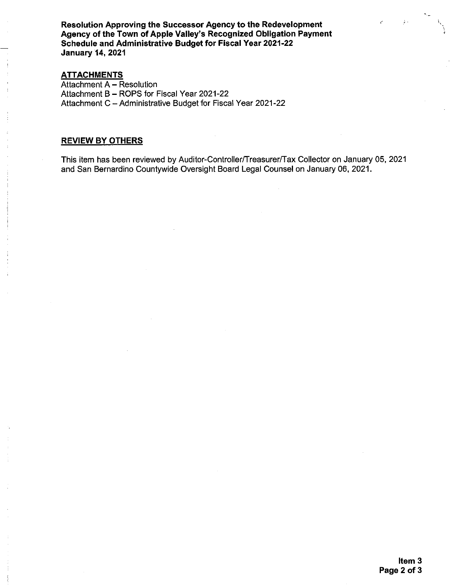Resolution Approving the Successor Agency to the Redevelopment Agency of the Town of Apple Valley's Recognized Obligation Payment Schedule and Administrative Budget for Fiscal Year 2021-22 **January 14, 2021** 

### **ATTACHMENTS**

Attachment A - Resolution Attachment B - ROPS for Fiscal Year 2021-22 Attachment C - Administrative Budget for Fiscal Year 2021-22

## **REVIEW BY OTHERS**

This item has been reviewed by Auditor-Controller/Treasurer/Tax Collector on January 05, 2021 and San Bernardino Countywide Oversight Board Legal Counsel on January 06, 2021.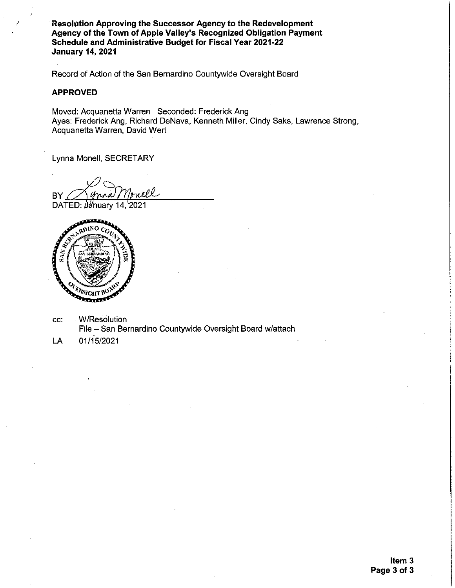**Resolution Approving the Successor Agency to the Redevelopment** Agency of the Town of Apple Valley's Recognized Obligation Payment Schedule and Administrative Budget for Fiscal Year 2021-22 **January 14, 2021** 

Record of Action of the San Bernardino Countywide Oversight Board

#### **APPROVED**

Moved: Acquanetta Warren Seconded: Frederick Ang Ayes: Frederick Ang, Richard DeNava, Kenneth Miller, Cindy Saks, Lawrence Strong, Acquanetta Warren, David Wert

Lynna Monell, SECRETARY

nell-BY

DATED: January 14, 2021



**W/Resolution** CC: File - San Bernardino Countywide Oversight Board w/attach

01/15/2021 LA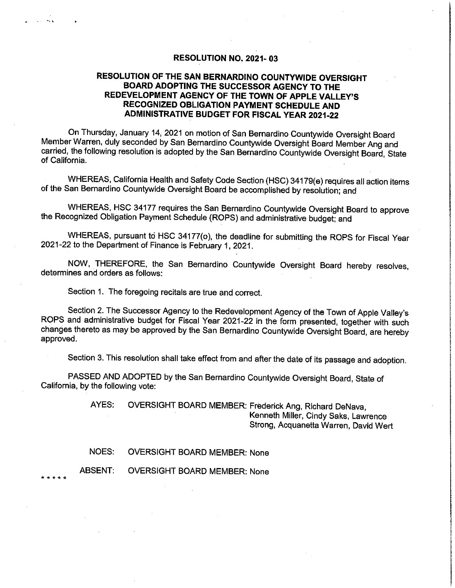## RESOLUTION NO. 2021-03

## RESOLUTION OF THE SAN BERNARDINO COUNTYWIDE OVERSIGHT BOARD ADOPTING THE SUCCESSOR AGENCY TO THE REDEVELOPMENT AGENCY OF THE TOWN OF APPLE VALLEY'S RECOGNIZED OBLIGATION PAYMENT SCHEDULE AND **ADMINISTRATIVE BUDGET FOR FISCAL YEAR 2021-22**

On Thursday, January 14, 2021 on motion of San Bernardino Countywide Oversight Board Member Warren, duly seconded by San Bernardino Countywide Oversight Board Member Ang and carried, the following resolution is adopted by the San Bernardino Countywide Oversight Board, State of California.

WHEREAS, California Health and Safety Code Section (HSC) 34179(e) requires all action items of the San Bernardino Countywide Oversight Board be accomplished by resolution; and

WHEREAS, HSC 34177 requires the San Bernardino Countywide Oversight Board to approve the Recognized Obligation Payment Schedule (ROPS) and administrative budget; and

WHEREAS, pursuant to HSC 34177(o), the deadline for submitting the ROPS for Fiscal Year 2021-22 to the Department of Finance is February 1, 2021.

NOW, THEREFORE, the San Bernardino Countywide Oversight Board hereby resolves, determines and orders as follows:

Section 1. The foregoing recitals are true and correct.

Section 2. The Successor Agency to the Redevelopment Agency of the Town of Apple Valley's ROPS and administrative budget for Fiscal Year 2021-22 in the form presented, together with such changes thereto as may be approved by the San Bernardino Countywide Oversight Board, are hereby approved.

Section 3. This resolution shall take effect from and after the date of its passage and adoption.

PASSED AND ADOPTED by the San Bernardino Countywide Oversight Board, State of California, by the following vote:

> AYES: OVERSIGHT BOARD MEMBER: Frederick Ang, Richard DeNava, Kenneth Miller, Cindy Saks, Lawrence Strong, Acquanetta Warren, David Wert

NOES: OVERSIGHT BOARD MEMBER: None

**OVERSIGHT BOARD MEMBER: None ABSENT:**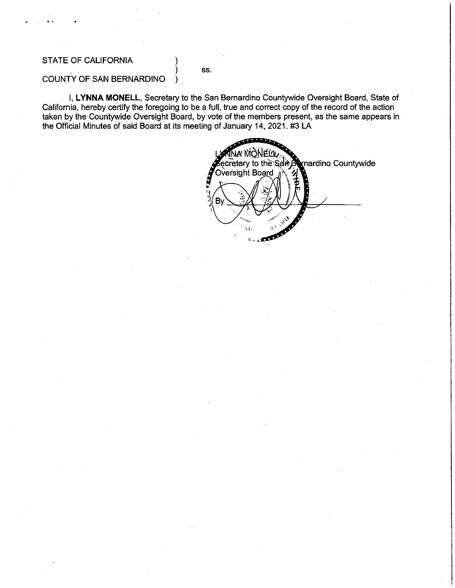## **STATE OF CALIFORNIA**

SS.

# COUNTY OF SAN BERNARDINO

I, LYNNA MONELL, Secretary to the San Bernardino Countywide Oversight Board, State of California, hereby certify the foregoing to be a full, true and correct copy of the record of the action taken by the Countywide Oversight Board, by vote of the members present, as the same appears in the Official Minutes of said Board at its meeting of January 14, 2021. #3 LA

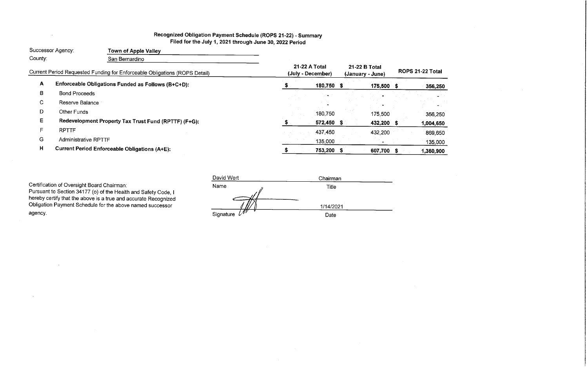# Recognized Obligation Payment Schedule (ROPS 21-22) - Summary Filed for the July 1, 2021 through June 30, 2022 Period

|              | Successor Agency:           | <b>Town of Apple Valley</b>                                                |                                    |              |                                   |            |                      |       |
|--------------|-----------------------------|----------------------------------------------------------------------------|------------------------------------|--------------|-----------------------------------|------------|----------------------|-------|
| County:      |                             | San Bernardino                                                             |                                    |              |                                   |            |                      |       |
|              |                             | Current Period Requested Funding for Enforceable Obligations (ROPS Detail) | 21-22 A Total<br>(July - December) |              | 21-22 B Total<br>(January - June) |            | <b>ROPS 21-22 To</b> |       |
| A            |                             | Enforceable Obligations Funded as Follows (B+C+D):                         |                                    | $180,750$ \$ |                                   | 175,500 \$ |                      | 356   |
| В            | <b>Bond Proceeds</b>        |                                                                            |                                    |              |                                   |            |                      |       |
| $\mathbf{C}$ | Reserve Balance             |                                                                            |                                    |              |                                   |            |                      |       |
| D            | Other Funds                 |                                                                            |                                    | 180,750      |                                   | 175,500    |                      | 356   |
| Е            |                             | Redevelopment Property Tax Trust Fund (RPTTF) (F+G):                       |                                    | 572,450 \$   |                                   | 432,200 \$ |                      | 1,004 |
| F.           | <b>RPTTF</b>                |                                                                            |                                    | 437,450      |                                   | 432,200    |                      | 869   |
| G            | <b>Administrative RPTTF</b> |                                                                            |                                    | 135,000      |                                   |            |                      | 135   |
| H            |                             | <b>Current Period Enforceable Obligations (A+E):</b>                       |                                    | 753,200 \$   |                                   | 607,700 \$ |                      | 1,360 |

 $\sim$ 

Certification of Oversight Board Chairman:<br>Pursuant to Section 34177 (o) of the Health and Safety Code, I<br>hereby certify that the above is a true and accurate Recognized<br>Obligation Payment Schedule for the above named succ agency.

| David Wert                 | Chairman  |  |  |  |  |  |
|----------------------------|-----------|--|--|--|--|--|
| Name                       | Title     |  |  |  |  |  |
|                            | 1/14/2021 |  |  |  |  |  |
| $\mathscr{N}$<br>Signature | Date      |  |  |  |  |  |

| 356,250        |  |
|----------------|--|
|                |  |
|                |  |
| 356,250        |  |
| 004,650        |  |
| 869,650        |  |
| <u>135,000</u> |  |
| 360,900        |  |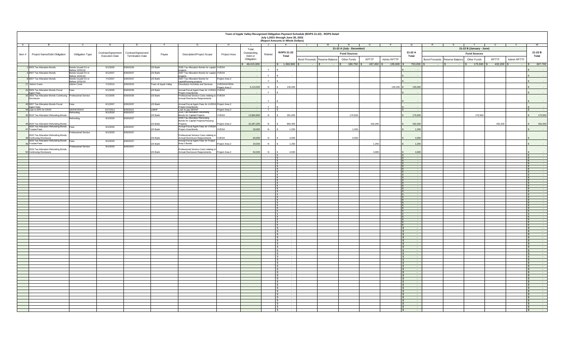|        | Town of Apple Valley Recognized Obligation Payment Schedule (ROPS 21-22) - ROPS Detail<br>July 1,2021 through June 30, 2022<br>(Report Amounts in Whole Dollars) |                                       |                                             |                                               |                      |                                                                                                   |                                      |                        |         |                                                                       |        |                                 |                     |                             |                                                                               |                                                       |                |             |                                                                                          |
|--------|------------------------------------------------------------------------------------------------------------------------------------------------------------------|---------------------------------------|---------------------------------------------|-----------------------------------------------|----------------------|---------------------------------------------------------------------------------------------------|--------------------------------------|------------------------|---------|-----------------------------------------------------------------------|--------|---------------------------------|---------------------|-----------------------------|-------------------------------------------------------------------------------|-------------------------------------------------------|----------------|-------------|------------------------------------------------------------------------------------------|
|        |                                                                                                                                                                  |                                       |                                             |                                               |                      |                                                                                                   |                                      | Total                  |         |                                                                       |        | 21-22 A (July - December)       |                     |                             |                                                                               | 21-22 B (January - June)                              |                |             |                                                                                          |
| Item # | Project Name/Debt Obligation                                                                                                                                     | <b>Obligation Type</b>                | Contract/Agreement<br><b>Execution Date</b> | Contract/Agreement<br><b>Termination Date</b> | Payee                | <b>Description/Project Scope</b>                                                                  | Project Area                         | Outstanding<br>Debt or | Retired | <b>ROPS 21-22</b><br><b>Total</b>                                     |        |                                 | <b>Fund Sources</b> |                             | 21-22 A<br><b>Total</b>                                                       | <b>Fund Sources</b>                                   |                |             | 21-22 B<br><b>Total</b>                                                                  |
|        |                                                                                                                                                                  |                                       |                                             |                                               |                      |                                                                                                   |                                      | Obligation             |         |                                                                       |        | Bond Proceeds   Reserve Balance | Other Funds         | <b>RPTTF</b><br>Admin RPTTF |                                                                               | <b>Other Funds</b><br>Bond Proceeds   Reserve Balance | <b>RPTTF</b>   | Admin RPTTF |                                                                                          |
|        | 2005 Tax Allocation Bonds                                                                                                                                        | Bonds Issued On or<br>Before 12/31/10 | 5/1/2005                                    | 6/30/2035                                     | US Bank              | 2005 Tax Allocation Bonds for capital VVEDA                                                       |                                      | 648,415,000            |         | $6 - 1,360,900$<br>$\sim$                                             | $\sim$ |                                 | $180,750$ \$        | 135,000                     | 753,200<br>$\sim$ $-$                                                         | $175,500$ \$<br>$\sim$ $ \sim$                        | $432,200$ \ \$ | $\sim$ $-$  | 607,700<br><b>Common</b>                                                                 |
|        | 2 2007 Tax Allocation Bonds                                                                                                                                      | Bonds Issued On or<br>Before 12/31/10 | 6/1/2007                                    | 6/30/2037                                     | US Bank              | proiects<br>2007 Tax Allocation Bonds for capital VVEDA<br>nroiects                               |                                      |                        |         | $\sim$                                                                |        |                                 |                     |                             | $\sim$ $-$                                                                    |                                                       |                |             | $\sim 10^{-10}$                                                                          |
|        | 8 2007 Tax Allocation Bonds                                                                                                                                      | Bonds Issued On or<br>Before 12/31/10 | 7/1/2007                                    | 6/30/2037                                     | US Bank              | 2007 Tax Allocation Bonds for<br>capital/housing projects                                         | Project Area 2                       |                        |         | $\sim$                                                                |        |                                 |                     |                             | $\sim$ $-$                                                                    |                                                       |                |             | $\sim 10^{-10}$ m $^{-1}$                                                                |
|        | 17 Admin Costs                                                                                                                                                   | <b>Admin Costs</b>                    | 7/1/2013                                    | 6/30/2022                                     | Town of Apple Valley | Dissolution Activities and Services                                                               | <b>/VEDA/AVRDA</b><br>Project Area 2 | 4,115,000              |         | 135,000                                                               |        |                                 |                     | 135,000                     | 135,000                                                                       |                                                       |                |             | <b>Contract Contract</b>                                                                 |
|        | 41 2005 Tax Allocation Bonds Fiscal<br>Agent Fees<br>42 2005 Tax Allocation Bonds Continuing Professional Service                                                | Fees                                  | 5/1/2005                                    | 6/30/2035                                     | US Bank              | Annual Fiscal Agent Fees for VVEDA VVEDA<br>Project Area Bonds                                    |                                      |                        |         | - -                                                                   |        |                                 |                     |                             | $\sim$                                                                        |                                                       |                |             | $\sim 100$ m $^{-1}$                                                                     |
|        | Disclosure                                                                                                                                                       |                                       | 5/1/2005                                    | 6/30/2035                                     | US Bank              | Professional Service Costs relating to VVEDA<br>Annual Disclosure Requirements                    |                                      | $\sim 1000$ m $^{-1}$  |         | $\sim$ $-$                                                            |        |                                 |                     |                             | $\sim$ $-$                                                                    |                                                       |                |             | <b>Common</b>                                                                            |
|        | 43 2007 Tax Allocation Bonds Fiscal<br>Agent Fees<br>44 Loan to 80% for ERAF                                                                                     | Fees                                  | 6/1/2007                                    | 6/30/2037                                     | US Bank              | Annual Fiscal Agent Fees for AVRDA Project Area 2<br>Project Area Bonds<br>Loan to pay SERAF      |                                      |                        |         | $\sim$                                                                |        |                                 |                     |                             | $\sim$ $-$                                                                    |                                                       |                |             | <b>Common</b>                                                                            |
|        |                                                                                                                                                                  | SERAF/ERAF<br>Refunding               | 4/27/2011<br>9/1/2020                       | 6/30/2021<br>6/30/2037                        | <b>LMIHF</b>         | 2020 Tax Allocation Refunding                                                                     | Project Area 2                       |                        |         | - -                                                                   |        |                                 |                     |                             | $\sim 100$                                                                    |                                                       |                |             | $\sim$                                                                                   |
|        | 15 2020 Tax Allocation Refunding Bonds                                                                                                                           | Refunding                             | 9/1/2020                                    | 6/30/2037                                     | US Bank              | Bonds for Capital Projects<br>2020 Tax Allocation Refunding<br>Bonds for Capital Projects/Housing | VVEDA                                | 12,864,800             |         | 351,000                                                               |        |                                 | 175,500             |                             | 175,500                                                                       | 175,500                                               |                |             | 175,500                                                                                  |
|        | 46 2020 Tax Allocation Refunding Bonds<br>2020 Tax Allocation Refunding Bonds Fees                                                                               |                                       | 9/1/2020                                    | 6/30/2037                                     | US Bank              | Projects<br>Annual Fiscal Agent Fees for VVEDA                                                    | Project Area 2                       | 31,267,200             |         | 864,400                                                               |        |                                 |                     | 432,200                     | 432,200                                                                       |                                                       | 432,200        |             | 432,200                                                                                  |
|        | 47 Trustee Fees                                                                                                                                                  | <b>Professional Service</b>           | 9/1/2020                                    | 6/30/2037                                     | <b>US Bank</b>       | Project Area Bonds                                                                                | <b>VVEDA</b>                         | 20,000                 |         | 1,250                                                                 |        |                                 | 1,250               |                             | 1,250                                                                         |                                                       |                |             | <b>Contract Contract</b>                                                                 |
|        | 2020 Tax Allocation Refunding Bonds<br>48 Continuing Disclosure                                                                                                  |                                       |                                             |                                               | US Bank              | Professional Service Costs relating to<br>Annual Disclosure Requirements                          | <b>VVEDA</b>                         | 64,000                 |         | 4,000                                                                 |        |                                 | 4,000               |                             | 4,000                                                                         |                                                       |                |             | <b>Contract Contract</b>                                                                 |
|        | 2020 Tax Allocation Refunding Bonds   Fees<br>9 Trustee Fees                                                                                                     |                                       | 9/1/2020                                    | 6/30/2037                                     | US Bank              | Annual Fiscal Agent Fees for Project<br>Area 2 Bonds                                              | Project Area 2                       | 20,000                 |         | 1,250                                                                 |        |                                 |                     | 1,250                       | 1,250                                                                         |                                                       |                |             |                                                                                          |
|        | 2020 Tax Allocation Refunding Bonds<br>0 Continuing Disclosure                                                                                                   | <b>Professional Service</b>           | 9/1/2020                                    | 6/30/2037                                     | US Bank              | Professional Service Costs relating to<br>Annual Disclosure Requirements                          | Project Area 2                       | 64,000                 |         | 4,000                                                                 |        |                                 |                     | 4,000                       | 4,000                                                                         |                                                       |                |             |                                                                                          |
|        |                                                                                                                                                                  |                                       |                                             |                                               |                      |                                                                                                   |                                      |                        |         | $\sim 100$ m $^{-1}$<br>$\sim$                                        |        |                                 |                     |                             | <b>Contract</b><br>$\sim$ $ -$                                                |                                                       |                |             | <b>State State</b><br><b>Contract Contract</b>                                           |
|        |                                                                                                                                                                  |                                       |                                             |                                               |                      |                                                                                                   |                                      |                        |         | $\sim$<br><b>Contract Contract</b>                                    |        |                                 |                     |                             | $\sim$ $ -$<br>$\sim 100$                                                     |                                                       |                |             |                                                                                          |
|        |                                                                                                                                                                  |                                       |                                             |                                               |                      |                                                                                                   |                                      |                        |         | <b>Contract</b><br>$\sim$                                             |        |                                 |                     |                             | $\sim 100$ m $^{-1}$<br>$\sim$ $ -$                                           |                                                       |                |             |                                                                                          |
|        |                                                                                                                                                                  |                                       |                                             |                                               |                      |                                                                                                   |                                      |                        |         | <b>Contract Contract</b><br><b>Contract</b>                           |        |                                 |                     |                             | $\sim 100$ m $^{-1}$<br>$\sim 100$ m $^{-1}$                                  |                                                       |                |             |                                                                                          |
|        |                                                                                                                                                                  |                                       |                                             |                                               |                      |                                                                                                   |                                      |                        |         | $\sim$<br>$\sim 100$ m $^{-1}$<br>$\sim 100$ km s $^{-1}$             |        |                                 |                     |                             | $\sim$ $ -$<br>$\sim 100$ m $^{-1}$<br>$\sim 100$ m $^{-1}$                   |                                                       |                |             |                                                                                          |
|        |                                                                                                                                                                  |                                       |                                             |                                               |                      |                                                                                                   |                                      |                        |         | $\sim$ $-$<br>$\sim 100$ m $^{-1}$                                    |        |                                 |                     |                             | $\sim$ $ -$<br>$\sim 100$ m $^{-1}$                                           |                                                       |                |             |                                                                                          |
|        |                                                                                                                                                                  |                                       |                                             |                                               |                      |                                                                                                   |                                      |                        |         | <b>Contract Contract</b><br>$\sim$ $-$                                |        |                                 |                     |                             | $\sim 100$ m $^{-1}$<br>$\sim$ $ -$                                           |                                                       |                |             |                                                                                          |
|        |                                                                                                                                                                  |                                       |                                             |                                               |                      |                                                                                                   |                                      |                        |         | $\sim 100$ km s $^{-1}$<br><b>Service State</b>                       |        |                                 |                     |                             | $\sim 100$ m $^{-1}$<br>$\sim 100$ m $^{-1}$                                  |                                                       |                |             |                                                                                          |
|        |                                                                                                                                                                  |                                       |                                             |                                               |                      |                                                                                                   |                                      |                        |         | $\sim$ $-$<br>$\sim 100$                                              |        |                                 |                     |                             | $\sim$ $ -$<br>$\sim 100$ m $^{-1}$                                           |                                                       |                |             |                                                                                          |
|        |                                                                                                                                                                  |                                       |                                             |                                               |                      |                                                                                                   |                                      |                        |         | <b>Service State</b><br>$\sim$                                        |        |                                 |                     |                             | $\sim 100$ m $^{-1}$<br>$\sim$ $ -$                                           |                                                       |                |             |                                                                                          |
|        |                                                                                                                                                                  |                                       |                                             |                                               |                      |                                                                                                   |                                      |                        |         | $\sim$ $-$<br><b>Contract Contract</b>                                |        |                                 |                     |                             | $\sim 100$ m $^{-1}$<br>$\sim 100$ m $^{-1}$                                  |                                                       |                |             |                                                                                          |
|        |                                                                                                                                                                  |                                       |                                             |                                               |                      |                                                                                                   |                                      |                        |         | $\sim$<br>$\sim$                                                      |        |                                 |                     |                             | $\sim$ $ -$<br>$\sim$ $ -$                                                    |                                                       |                |             |                                                                                          |
|        |                                                                                                                                                                  |                                       |                                             |                                               |                      |                                                                                                   |                                      |                        |         | <b>Service State</b><br>$\sim$ $-$                                    |        |                                 |                     |                             | $\sim 100$ m $^{-1}$<br>$\sim$ $ \sim$                                        |                                                       |                |             |                                                                                          |
|        |                                                                                                                                                                  |                                       |                                             |                                               |                      |                                                                                                   |                                      |                        |         | $\sim$<br>$\sim$                                                      |        |                                 |                     |                             | $\sim$ $-$<br>$\sim$                                                          |                                                       |                |             | $\sim$ 100 $\sim$ 100 $\sim$                                                             |
|        |                                                                                                                                                                  |                                       |                                             |                                               |                      |                                                                                                   |                                      |                        |         | <b>Contract Contract</b>                                              |        |                                 |                     |                             | $\sim$ $-$<br><b>Service</b> State                                            |                                                       |                |             | <b>Service Control</b>                                                                   |
|        |                                                                                                                                                                  |                                       |                                             |                                               |                      |                                                                                                   |                                      |                        |         | <b>Contract Contract</b><br><b>Contract Contract</b>                  |        |                                 |                     |                             | <b>Service State</b><br><b>Service Contract Contract</b>                      |                                                       |                |             | <b>Service State</b><br>and the state of the state of                                    |
|        |                                                                                                                                                                  |                                       |                                             |                                               |                      |                                                                                                   |                                      |                        |         | <b>Contract Contract State</b>                                        |        |                                 |                     |                             | <b>Service Contract Contract Contract</b>                                     |                                                       |                |             | _______<br>and the company of the company<br>_______<br><b>Service Contract Contract</b> |
|        |                                                                                                                                                                  |                                       |                                             |                                               |                      |                                                                                                   |                                      |                        |         | <b>Contract Contract State</b><br><b>Service Contract Contract</b>    |        |                                 |                     |                             | <b>Service Contract Contract</b><br><b>Service Contract Contract Contract</b> |                                                       |                |             | and the company of the company                                                           |
|        |                                                                                                                                                                  |                                       |                                             |                                               |                      |                                                                                                   |                                      |                        |         | <b>Service Contracts</b><br><b>Contract Contract</b>                  |        |                                 |                     |                             | <b>Service Contract Contract</b><br><b>Service Contract Contract Contract</b> |                                                       |                |             | and the state of the state<br>and the company of the company                             |
|        |                                                                                                                                                                  |                                       |                                             |                                               |                      |                                                                                                   |                                      |                        |         | $\sim$ $-$<br><b>Contract Contract</b>                                |        |                                 |                     |                             | <b>Service State</b><br><b>Service Contract Contract</b>                      |                                                       |                |             | <b>Contract Contract</b><br>$\mathcal{L}(\mathcal{L})$ and $\mathcal{L}(\mathcal{L})$ .  |
|        |                                                                                                                                                                  |                                       |                                             |                                               |                      |                                                                                                   |                                      |                        |         | <b>Contract Contract</b><br><b>Contract Contract</b>                  |        |                                 |                     |                             | <b>Service Contract</b><br><b>Service Contract Contract</b>                   |                                                       |                |             | <b>Service Control</b><br>_______<br>and the state of the state of                       |
|        |                                                                                                                                                                  |                                       |                                             |                                               |                      |                                                                                                   |                                      |                        |         | <b>Service Contracts</b><br><b>Service Contract Contract Contract</b> |        |                                 |                     |                             | <b>Service Contract</b><br>and the state of the state                         |                                                       |                |             | <b>Contract Contract Contract</b><br><b>Contract Contract Contract</b>                   |
|        |                                                                                                                                                                  |                                       |                                             |                                               |                      |                                                                                                   |                                      |                        |         | <b>Contract Contract Contract</b>                                     |        |                                 |                     |                             | <b>Service Contract Contract Contract</b>                                     |                                                       |                |             | <b>Service Contract Contract</b>                                                         |
|        |                                                                                                                                                                  |                                       |                                             |                                               |                      |                                                                                                   |                                      |                        |         | <b>Service Contract Contract Contract</b><br><b>Contract Contract</b> |        |                                 |                     |                             | <b>Service Contract Contract Contract</b><br><b>Contract Contract State</b>   |                                                       |                |             | and the state of the state of<br><b>Service Contract Contract Contract</b>               |
|        |                                                                                                                                                                  |                                       |                                             |                                               |                      |                                                                                                   |                                      |                        |         | <b>Contract Contract</b><br>$\sim$ $-$                                |        |                                 |                     |                             | <b>Contract Contract Contract</b><br><b>Service</b> State                     |                                                       |                |             | <b>Contract Contract</b><br><b>Service Contract</b>                                      |
|        |                                                                                                                                                                  |                                       |                                             |                                               |                      |                                                                                                   |                                      |                        |         | <b>Service</b><br><b>Service</b>                                      |        |                                 |                     |                             | <b>Service State</b><br><b>Service State</b>                                  |                                                       |                |             | <b>Contract Contract Contract</b><br>_______<br><b>Contract Contract Contract</b>        |
|        |                                                                                                                                                                  |                                       |                                             |                                               |                      |                                                                                                   |                                      |                        |         | <b>Contract Contract</b><br><b>Contract Contract</b>                  |        |                                 |                     |                             | <b>Service Contract Contract Contract</b><br><b>Service State</b>             |                                                       |                |             | $\frac{1}{\sqrt{2}}$                                                                     |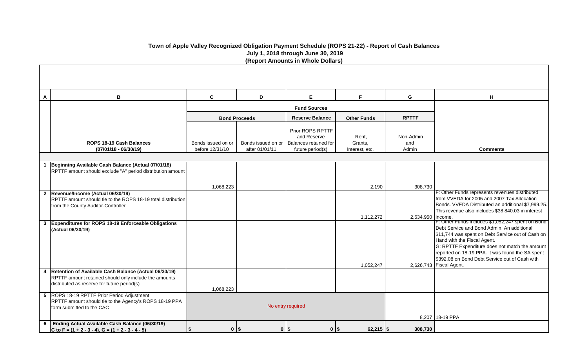| A | В                                                                                                                                                                        | $\mathbf{C}$                          | D                                    | E                                                                            | F.                                 | G                         | H                                                                                                                                                                                                                                   |
|---|--------------------------------------------------------------------------------------------------------------------------------------------------------------------------|---------------------------------------|--------------------------------------|------------------------------------------------------------------------------|------------------------------------|---------------------------|-------------------------------------------------------------------------------------------------------------------------------------------------------------------------------------------------------------------------------------|
|   |                                                                                                                                                                          |                                       |                                      | <b>Fund Sources</b>                                                          |                                    |                           |                                                                                                                                                                                                                                     |
|   |                                                                                                                                                                          |                                       | <b>Bond Proceeds</b>                 | <b>Reserve Balance</b>                                                       | <b>Other Funds</b>                 | <b>RPTTF</b>              |                                                                                                                                                                                                                                     |
|   | ROPS 18-19 Cash Balances<br>$(07/01/18 - 06/30/19)$                                                                                                                      | Bonds issued on or<br>before 12/31/10 | Bonds issued on or<br>after 01/01/11 | Prior ROPS RPTTF<br>and Reserve<br>Balances retained for<br>future period(s) | Rent,<br>Grants,<br>Interest, etc. | Non-Admin<br>and<br>Admin | Comn                                                                                                                                                                                                                                |
|   |                                                                                                                                                                          |                                       |                                      |                                                                              |                                    |                           |                                                                                                                                                                                                                                     |
|   | Beginning Available Cash Balance (Actual 07/01/18)<br>RPTTF amount should exclude "A" period distribution amount                                                         |                                       |                                      |                                                                              |                                    |                           |                                                                                                                                                                                                                                     |
|   |                                                                                                                                                                          | 1,068,223                             |                                      |                                                                              | 2,190                              | 308,730                   |                                                                                                                                                                                                                                     |
|   | 2  Revenue/Income (Actual 06/30/19)<br>RPTTF amount should tie to the ROPS 18-19 total distribution<br>from the County Auditor-Controller                                |                                       |                                      |                                                                              | 1,112,272                          | 2,634,950   income.       | <b>F: Other Funds represents</b><br>from VVEDA for 2005 and<br>Bonds. VVEDA Distributed<br>This revenue also includes                                                                                                               |
|   | 3 Expenditures for ROPS 18-19 Enforceable Obligations<br>(Actual 06/30/19)                                                                                               |                                       |                                      |                                                                              | 1,052,247                          |                           | F: Other Funds includes \$<br>Debt Service and Bond Ad<br>\$11,744 was spent on Deb<br>Hand with the Fiscal Agent<br>G: RPTTF Expenditure do<br>reported on 18-19 PPA. It v<br>\$392.08 on Bond Debt Ser<br>2,626,743 Fiscal Agent. |
|   | 4   Retention of Available Cash Balance (Actual 06/30/19)<br><b>RPTTF</b> amount retained should only include the amounts<br>distributed as reserve for future period(s) | 1,068,223                             |                                      |                                                                              |                                    |                           |                                                                                                                                                                                                                                     |
|   | 5 ROPS 18-19 RPTTF Prior Period Adjustment<br>RPTTF amount should tie to the Agency's ROPS 18-19 PPA<br>form submitted to the CAC                                        |                                       |                                      | No entry required                                                            |                                    |                           | 8,207 18-19 PPA                                                                                                                                                                                                                     |
|   | 6 Ending Actual Available Cash Balance (06/30/19)<br>C to F = $(1 + 2 - 3 - 4)$ , G = $(1 + 2 - 3 - 4 - 5)$                                                              | \$                                    | $0$   \$                             | $0$   \$<br>$0$   \$                                                         | $62,215$ \\$                       | 308,730                   |                                                                                                                                                                                                                                     |

| н                                                                                                                                                                                                                                                                                                                                                            |
|--------------------------------------------------------------------------------------------------------------------------------------------------------------------------------------------------------------------------------------------------------------------------------------------------------------------------------------------------------------|
| Comments                                                                                                                                                                                                                                                                                                                                                     |
|                                                                                                                                                                                                                                                                                                                                                              |
|                                                                                                                                                                                                                                                                                                                                                              |
| F: Other Funds represents revenues distributed<br>from VVEDA for 2005 and 2007 Tax Allocation<br>Bonds. VVEDA Distributed an additional \$7,999.25.<br>This revenue also includes \$38,840.03 in interest<br>income.                                                                                                                                         |
| F: Other Funds includes \$1,052,247 spent on Bond<br>Debt Service and Bond Admin. An additional<br>\$11,744 was spent on Debt Service out of Cash on<br>Hand with the Fiscal Agent.<br>G: RPTTF Expenditure does not match the amount<br>reported on 18-19 PPA. It was found the SA spent<br>\$392.08 on Bond Debt Service out of Cash with<br>Fiscal Agent. |
|                                                                                                                                                                                                                                                                                                                                                              |
| 18-19 PPA                                                                                                                                                                                                                                                                                                                                                    |
|                                                                                                                                                                                                                                                                                                                                                              |

# **Town of Apple Valley Recognized Obligation Payment Schedule (ROPS 21-22) - Report of Cash Balances July 1, 2018 through June 30, 2019 (Report Amounts in Whole Dollars)**